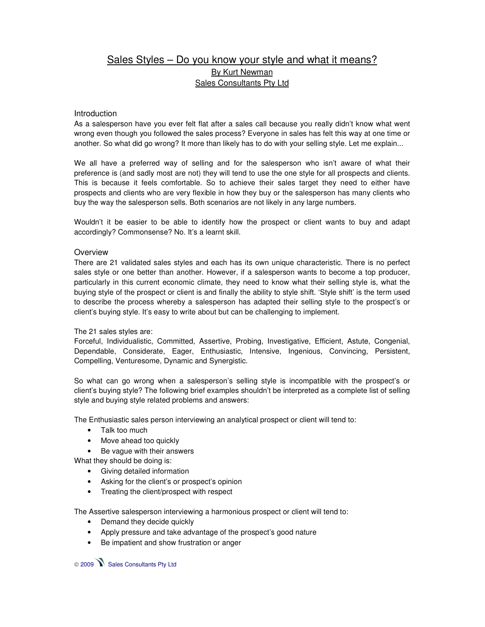## Sales Styles - Do you know your style and what it means? By Kurt Newman Sales Consultants Pty Ltd

## Introduction

As a salesperson have you ever felt flat after a sales call because you really didn't know what went wrong even though you followed the sales process? Everyone in sales has felt this way at one time or another. So what did go wrong? It more than likely has to do with your selling style. Let me explain...

We all have a preferred way of selling and for the salesperson who isn't aware of what their preference is (and sadly most are not) they will tend to use the one style for all prospects and clients. This is because it feels comfortable. So to achieve their sales target they need to either have prospects and clients who are very flexible in how they buy or the salesperson has many clients who buy the way the salesperson sells. Both scenarios are not likely in any large numbers.

Wouldn't it be easier to be able to identify how the prospect or client wants to buy and adapt accordingly? Commonsense? No. It's a learnt skill.

## **Overview**

There are 21 validated sales styles and each has its own unique characteristic. There is no perfect sales style or one better than another. However, if a salesperson wants to become a top producer, particularly in this current economic climate, they need to know what their selling style is, what the buying style of the prospect or client is and finally the ability to style shift. 'Style shift' is the term used to describe the process whereby a salesperson has adapted their selling style to the prospect's or client's buying style. It's easy to write about but can be challenging to implement.

## The 21 sales styles are:

Forceful, Individualistic, Committed, Assertive, Probing, Investigative, Efficient, Astute, Congenial, Dependable, Considerate, Eager, Enthusiastic, Intensive, Ingenious, Convincing, Persistent, Compelling, Venturesome, Dynamic and Synergistic.

So what can go wrong when a salesperson's selling style is incompatible with the prospect's or client's buying style? The following brief examples shouldn't be interpreted as a complete list of selling style and buying style related problems and answers:

The Enthusiastic sales person interviewing an analytical prospect or client will tend to:

- Talk too much
- Move ahead too quickly
- Be vague with their answers

What they should be doing is:

- Giving detailed information
- Asking for the client's or prospect's opinion
- Treating the client/prospect with respect

The Assertive salesperson interviewing a harmonious prospect or client will tend to:

- Demand they decide quickly
- Apply pressure and take advantage of the prospect's good nature
- Be impatient and show frustration or anger

2009 Sales Consultants Pty Ltd